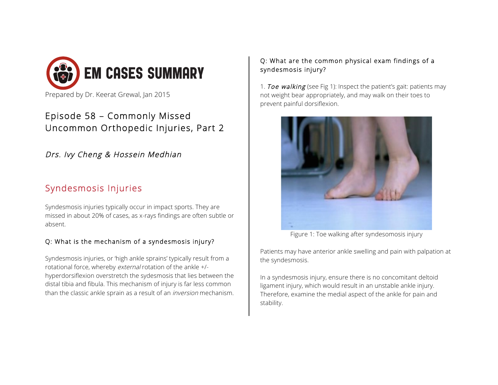

## Episode 58 – Commonly Missed Uncommon Orthopedic Injuries, Part 2

Drs. Ivy Cheng & Hossein Medhian

# Syndesmosis Injuries

Syndesmosis injuries typically occur in impact sports. They are missed in about 20% of cases, as x-rays findings are often subtle or absent.

### Q: What is the mechanism of a syndesmosis injury?

Syndesmosis injuries, or 'high ankle sprains' typically result from a rotational force, whereby external rotation of the ankle +/ hyperdorsiflexion overstretch the sydesmosis that lies between the distal tibia and fibula. This mechanism of injury is far less common than the classic ankle sprain as a result of an *inversion* mechanism.

#### Q: What are the common physical exam findings of a syndesmosis injury?

1. Toe walking (see Fig 1): Inspect the patient's gait: patients may not weight bear appropriately, and may walk on their toes to prevent painful dorsiflexion.



Figure 1: Toe walking after syndesomosis injury

Patients may have anterior ankle swelling and pain with palpation at the syndesmosis.

In a syndesmosis injury, ensure there is no concomitant deltoid ligament injury, which would result in an unstable ankle injury. Therefore, examine the medial aspect of the ankle for pain and stability.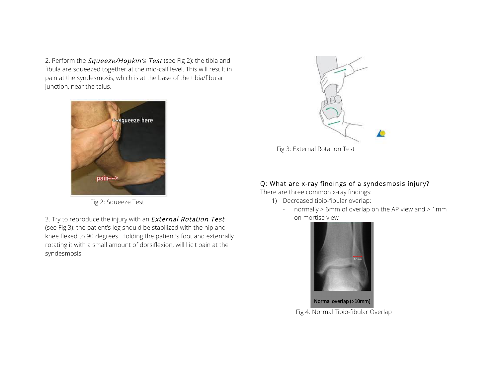2. Perform the *Squeeze/Hopkin's Test* (see Fig 2): the tibia and fibula are squeezed together at the mid-calf level. This will result in pain at the syndesmosis, which is at the base of the tibia/fibular junction, near the talus.



Fig 2: Squeeze Test

3. Try to reproduce the injury with an **External Rotation Test** (see Fig 3): the patient's leg should be stabilized with the hip and knee flexed to 90 degrees. Holding the patient's foot and externally rotating it with a small amount of dorsiflexion, will llicit pain at the syndesmosis.



#### Q: What are x-ray findings of a syndesmosis injury?

There are three common x-ray findings:

- 1) Decreased tibio-fibular overlap:
	- normally > 6mm of overlap on the AP view and > 1mm on mortise view



Normal overlap (>10mm) Fig 4: Normal Tibio-fibular Overlap